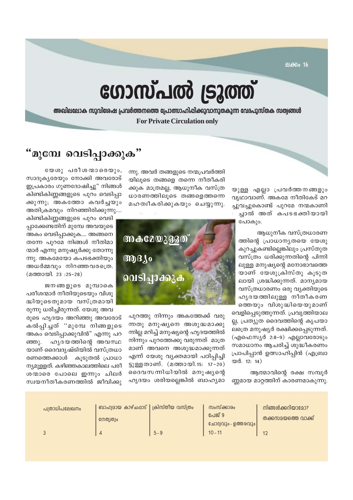ലക്കം 16

# ഗോസ്പൽ ട്രൂത്ത്

അഖിലലോക സുവിശേഷ പ്രവർത്തനത്തെ പ്രോത്സാഹിപ്പിക്കുവാനുതകുന്ന വേദപുസ്തക സത്വങ്ങൾ **For Private Circulation only** 

### "മുമ്പേ വെടിപ്പാക്കുക"

യുള്ള എല്ലാ പ്രവർത്തനങ്ങളും വൃഥാവാണ്. അകമേ നീതികേട് മറ ച്ചുവച്ചുകൊണ്ട് പുറമേ നന്മകാണി ച്ചാൽ അത് കപടഭക്തിയായി പോകും.

ആധുനീക വസ്ത്രധാരണ ത്തിന്റെ പ്രാധാന്യതയെ യേശു കുറച്ചുകണ്ടില്ലെങ്കിലും പ്രസ്തുത വസ്ത്രം ധരിക്കുന്നതിന്റെ പിന്നി ലുള്ള മനുഷ്യന്റെ മനോഭാവത്തെ യാണ് യേശുക്രിസ്തു കൂടുത ലായി ശ്രദ്ധിക്കുന്നത്. മാന്യമായ വസ്ത്രധാരണം ഒരു വ്യക്തിയുടെ ഹൃദയത്തിലുള്ള നീതീകരണ ത്തെയും വിശുദ്ധിയെയുമാണ് വെളിപ്പെടുത്തുന്നത്. പ്രവൃത്തിയാല ല്ല, പ്രത്യുത ദൈവത്തിന്റെ കൃപയാ

ലത്രെ മനുഷ്യർ രക്ഷിക്കപ്പെടുന്നത്. (എഫെസ്യർ 2:8-9) എല്ലാവരോടും സമാധാനം ആചരിച്ച് ശുദ്ധീകരണം പ്രാപിപ്പാൻ ഉത്സാഹിപ്പിൻ (എബ്രാ യർ. 12: 14)

ആത്മാവിന്റെ രക്ഷ സമ്പൂർ ണ്ണമായ മാറ്റത്തിന് കാരണമാകുന്നു.

ന്നു. അവർ തങ്ങളുടെ നന്മപ്രവർത്തി യിലൂടെ തങ്ങളെ തന്നെ നീതീകരി ക്കുക മാത്രമല്ല, ആധുനീക വസ്ത്ര ധാരണത്തിലുടെ തങ്ങളെത്തന്നെ മഹത്വീകരിക്കുകയും ചെയ്യുന്നു.



പുറത്തു നിന്നും അകത്തേക്ക് വരു ന്നതു മനുഷ്യനെ അശുദ്ധമാക്കു ന്നില്ല മറിച്ച് മനുഷ്യന്റെ ഹൃദയത്തിൽ നിന്നും പുറത്തേക്കു വരുന്നത് മാത്ര മാണ് അവനെ അശുദ്ധമാക്കുന്നത് എന്ന് യേശു വ്യക്തമായി പഠിപ്പിച്ചി ട്ടുള്ളതാണ്. (മത്തായി.15: 17-20) ദൈവസന്നിധിയിൽ മനുഷ്യന്റെ ഹൃദയം ശരിയല്ലെങ്കിൽ ബാഹ്യമാ

യേശു പരീശന്മാരെയും, സാദൂകൃരേയും നോക്കി അവരോട് ഇപ്രകാരം ഗുണദോഷിച്ചു" നിങ്ങൾ കിണ്ടികിണ്ണങ്ങളുടെ പുറം വെടിപ്പാ ക്കുന്നു; അകത്തോ കവർച്ചയും അതിക്രമവും നിറഞ്ഞിരിക്കുന്നു....

കിണ്ടികിണ്ണങ്ങളുടെ പുറം വെടി പാക്കേണ്ടതിന് മുമ്പേ അവയുടെ അകം വെടിപ്പാക്കുക.... അങ്ങനെ തന്നേ പുറമേ നിങ്ങൾ നീതിമാ ന്മാർ എന്നു മനുഷ്യർക്കു തോന്നു ന്നു. അകമേയോ കപടഭക്തിയും അധർമ്മവും നിറഞ്ഞവരത്രെ. (മത്തായി. 23:25-28)

ജനങ്ങളുടെ മുമ്പാകെ പരീശന്മാർ നീതിയുടെയും വിശു ദ്ധിയുടെതുമായ വസ്ത്രമായി

രുന്നു ധരിച്ചിരുന്നത്. യേശു അവ രുടെ ഹൃദയം അറിഞ്ഞു അവരോട് കൽപ്പിച്ചത് ''മുമ്പേ നിങ്ങളുടെ അകം വെടിപ്പാക്കുവിൻ" എന്നു പറ ഹൂദയത്തിന്റെ അവസ്ഥ ഞ്ഞു. യാണ് ദൈവദൃഷ്ടിയിൽ വസ്ത്രധാ രണത്തെക്കാൾ കുടുതൽ പ്രാധാ ന്യമുള്ളത്. കഴിഞ്ഞകാലത്തിലെ പരീ ശന്മാരെ പോലെ ഇന്നും ചിലർ സ്വയനീതീകരണത്തിൽ ജീവിക്കു

|  | പത്രാധിപലേഖനം | ബാഹ്വമായ കാഴ്ചപ്പാട്   ക്രിസ്തീയ വസ്ത്രം<br>നേത്വത്വം |         | സംസ്ക്കാരം<br>പേജ് 9<br>്ലോദ്യവും - ഉത്തരവും  <br>$10 - 11$ | നിങ്ങൾക്കറിയാമോ?<br>തക്കസമയത്തെ വാക്ക് |
|--|---------------|-------------------------------------------------------|---------|-------------------------------------------------------------|----------------------------------------|
|  |               |                                                       | $5 - 9$ |                                                             |                                        |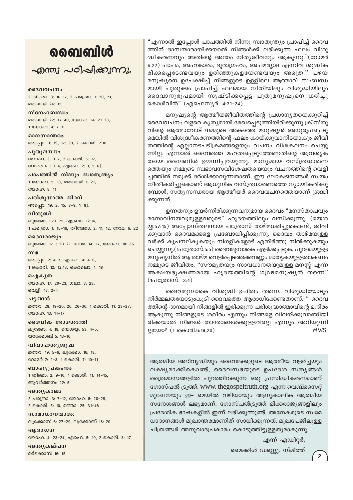# வைவிൾ

 $\sim$ றாறை പഠിപ്പിക്കുന്നു.

ദൈവവചനം 2 തിമൊ. 3: 16-17, 2 പത്രൊ. 1: 20, 21, മത്തായി 24: 35

സ്നേഹബന്ധം മത്തായി 22: 37-40, യോഹ. 14: 21-23, 1 0000 0.4: 7-11

മാനസാന്തരം അപ്പൊ. 3: 19, 17: 30, 2 കൊരി. 7:10

പുതുജനനം യോഹ. 3: 3-7, 2 കൊരി. 5: 17, റോമർ 6 : 1-4, എഫെ. 2: 1, 5-6).

പാപത്തിൽ നിന്നും സ്വാതന്ത്ര്യം 1 യോഹ. 5: 18, മത്തായി 1: 21,  $2000000811$ 

പരിശുദ്ധാത്മ നിറവ് അപ്പൊ. 19: 2, 15: 8-9, 1: 8).

വിശുദ്ധി ലൂക്കോ. 1:73-75, എബ്രാ. 12:14, 1 പക്രൊ. 1: 15-16, തീത്തോ. 2: 11, 12, റോമ. 6: 22

ദൈവരാജ്യം ലൂക്കോ. 17: 20-21, റോമ. 14: 17, യോഹ. 18: 36

അപ്പൊ. 2: 4-7, എഫെ. 4: 4-6, 1 കൊരി. 12: 12,13, കൊലൊ. 1: 18

ഐകൃത യോഹ. 17: 20-23, ഗലാ. 3: 28, വെളി. 18: 2-4

ചട്ടങ്ങൾ മത്താ. 28: 19-20, 26: 26-30, 1 കൊരി. 11: 23-27, യോഹ. 13: 14-17

ദൈവീക രോഗശാന്തി ലൂക്കോ. 4: 18, യെശയ്യ. 53: 4-5, യാക്കോബ് 5: 13-16

വിവാഹശൂശ്രൂഷ മത്താ. 19: 5-6, ലൂക്കോ. 16: 18, റോമർ 7: 2-3, 1 കൊരി. 7: 10-11

ബാഹ്യപ്രകടനം 1 തിമൊ. 2: 9-10, 1 കൊരി. 11: 14-15, ആവർത്തനം 22: 5

അന്ത്യകാലം 2 പത്രൊ. 3: 7-12, യോഹ. 5: 28-29, 2 കൊരി. 5: 10, മത്താ. 25: 31-46

സാമാധാനവാദം: ലൂക്കോസ് 6: 27-29, ലൂക്കോസ് 18: 20

അരാധന യോഹ. 4: 23-24, എഫെ. 5: 19, 2 കൊരി. 3: 17

അന്തൃകല്പന മർക്കൊസ് 16: 15

"എന്നാൽ ഇപ്പോൾ പാപത്തിൽ നിന്നു സ്വാതന്ത്ര്യം പ്രാപിച്ച് ദൈവ ത്തിന് ദാസന്മാരായിക്കയാൽ നിങ്ങൾക്ക് ലഭിക്കുന്ന ഫലം വിശു ദ്ധീകരണവും അതിന്റെ അന്തം നിത്യജീവനും ആകുന്നു."(റോമർ 6:22) പാപം, അഹങ്കാരം, ദുരാഗ്രഹം, അപമര്യാദ എന്നിവ ശുദ്ധീക രിക്കപ്പെടേണ്ടവയും ഉരിഞ്ഞുകളയേണ്ടവയും അത്രെ." പഴയ മനുഷ്യനെ ഉപേക്ഷിച്ച് നിങ്ങളുടെ ഉള്ളിലെ ആത്മാവ് സംബന്ധ മായി പുതുക്കം പ്രാപിച്ച് ഫലമായ നീതിയിലും വിശുദ്ധിയിലും ദൈവാനുരൂപമായി സൃഷ്ടിക്കപ്പെട്ട പുതുമനുഷ്യനെ ധരിച്ചു കൊൾവിൻ" (എഫെസ്യർ. 4:21-24)

മനുഷ്യന്റെ ആത്മീയജീവിതത്തിന്റെ പ്രധാന്യതയെക്കുറിച്ച് ദൈവവചനം വളരെ കൃത്യമായി രേഖപ്പെടുത്തിയിരിക്കുന്നു ക്രിസ്തു വിന്റെ ആത്മാവോട് നമ്മുടെ അകത്തെ മനുഷ്യൻ അനുരൂപപ്പെടു മെങ്കിൽ വിശുദ്ധീകരണത്തിന്റെ ഫലം കായ്ക്കുവാനിടയാകും ജീവി തത്തിന്റെ എല്ലാനടപടിക്രമങ്ങളെയും വചനം വിശകലനം ചെയ്യു ന്നില്ല. എന്നാൽ ദൈവത്തെ മഹത്വപ്പെടുത്തേണ്ടതിന്റെ ആവശ്യക തയെ ബൈബിൾ ഊന്നിപ്പറയുന്നു. മാന്യമായ വസ്ത്രധാരണ ത്തെയും നമ്മുടെ സ്വഭാവസവിശേഷതയെയും വചനത്തിന്റെ വെളി ച്ചത്തിൽ നമുക്ക് ദർശിക്കാവുന്നതാണ്. ഈ ലോകജനങ്ങൾ സ്വയം നീതീകരിച്ചുകൊണ്ട് ആധുനിക വസ്ത്രധാരണത്തെ ന്യായീകരിക്കു മ്പോൾ, സതൃസന്ധരായ ആത്മീയർ ദൈവവചനത്തെയാണ് ശ്രദ്ധി ക്കുന്നത്.

ഉന്നതനും ഉയർന്നിരിക്കുന്നവനുമായ ദൈവം "മനസ്താപവും മനോവിനയവുമുള്ളവരുടെ" ഹൃദയത്തിലും വസിക്കുന്നു. (യെശ യു.57:15) അപ്പോസ്തലനായ പത്രോസ് താഴ്മധരിച്ചുകൊണ്ട്, ജീവി ക്കുവാൻ ദൈവമക്കളെ പ്രബോധിപ്പിക്കുന്നു. ദൈവം താഴ്മയുള്ള വർക്ക് കൃപനല്കുകയും നിഗളികളോട് എതിർത്തു നിൽക്കുകയും ചെയ്യുന്നു.(1പത്രോസ്.5:5) ദൈവമുമ്പാകെ എളിമപ്പെടുക. പുറമെയുള്ള മനുഷ്യനിൽ ആ താഴ്മ വെളിപ്പെടത്തക്കവണ്ണം മാതൃകയുള്ളതാകണം നമ്മുടെ ജീവിതം. "സൗമൃതയും സാവധാനതയുമുള്ള മനസ്സ് എന്ന അക്ഷയഭൂക്ഷണമായ ഹൃദയത്തിന്റെ ഗൂഢമനുഷ്യൻ തന്നെ"  $(1\Delta \mathbb{G}(\mathbb{O})\otimes \mathbb{O})$ . 3:4)

ദൈവമുമ്പാകെ വിശുദ്ധി ഉചിതം തന്നെ. വിശുദ്ധിയോടും നിർമ്മലതയോടുംകുടി ദൈവത്തെ ആരാധിക്കേണ്ടതാണ്. " ദൈവ ത്തിന്റെ ദാനമായി നിങ്ങളിൽ ഇരിക്കുന്ന പരിശുദ്ധാത്മാവിന്റെ മന്ദിരം ആകുന്നു നിങ്ങളുടെ ശരീരം എന്നും നിങ്ങളെ വിലയ്ക്കുവാങ്ങിയി രിക്കയാൽ നിങ്ങൾ താന്താങ്ങൾക്കുള്ളവരല്ല എന്നും അറിയുന്നി ല്ലയോ? (1 കൊരി.6:19,20) **MWS** 

ആത്മീയ അഭിവൃദ്ധിയും ദൈവമക്കളുടെ ആത്മീയ വളർച്ചയും ലക്ഷ്യമാക്കികൊണ്ട്, ദൈവസഭയുടെ ഉപദേശ സത്യങ്ങൾ ത്രൈമാസങ്ങളിൽ പുറത്തിറക്കുന്ന ഒരു പ്രസിദ്ധീകരണമാണ് ഗോസ്പൽ ട്രുത്ത്. www. thegospeltruth.org എന്ന വെബ്സൈറ്റ് മുഖേനയും ഇ- മെയിൽ വഴിയായും ആനുകാലിക ആത്മീയ സന്ദേശങ്ങൾ ലഭ്യമാണ്. ഗോസ്പൽട്രുത്ത് മിക്കരാജ്യങ്ങളിലും പ്രദേശിക ഭാഷകളിൽ ഇന്ന് ലഭിക്കുന്നുണ്ട്. അനേകരുടെ സ്വമേ ധാദാനങ്ങൾ മുഖാന്തരമാണിത് സാധിക്കുന്നത്. മുഖപേജിലുള്ള ചിത്രങ്ങൾ അനുവാദപ്രകാരം കൊടുത്തിട്ടുള്ളതുമാകുന്നു.

എന്ന് എഡിറ്റർ,

മൈക്കിൾ ഡബ്ല്യൂ. സ്മിത്ത്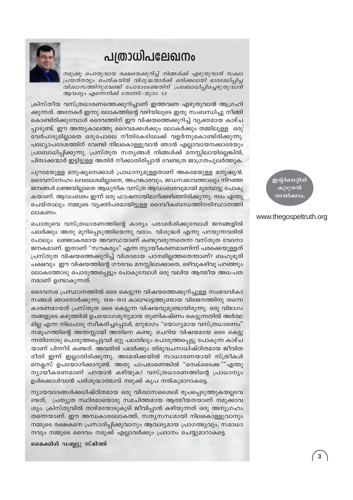### പത്രാധിപലേഖനം



നമുക്കു പൊതുവായ രക്ഷയെക്കുറിച്ച് നിങ്ങൾക്ക് എഴുതുവാൻ സകല പ്രയത്നവും ചെയ്കയിൽ വിശുദ്ധന്മാർക്ക് ഒരിക്കലായി ഭാരമേല്പ്പിച്ച വിശ്വാസത്തിനുവേണ്ടി പോരാടേണ്ടതിന് പ്രബോധിപ്പിച്ചെഴുതുവാൻ ആവശ്യം എന്നെനിക്ക് തോന്നി.-യുദാ. 1:3

ക്രിസ്തീയ വസ്ത്രധാരണത്തെക്കുറിച്ചാണ് ഇത്തവണ എഴുതുവാൻ ആഗ്രഹി ക്കുന്നത്. അനേകർ ഇന്നു ലോകത്തിന്റെ വഴിയിലൂടെ ഇതു സംബന്ധിച്ചു നീങ്ങി കൊണ്ടിരിക്കുമ്പോൾ ദൈവത്തിന് ഈ വിഷയത്തെക്കുറിച്ച് വ്യക്തമായ കാഴ്ച പ്പാടുണ്ട്. ഈ അന്ത്യകാലത്തു ദൈവമക്കൾക്കും ലോകർക്കും തമ്മിലുള്ള ഒരു വേർപാടുമില്ലാതെ ഒരുപോലെ നീതികേടിലേക്ക് വളർന്നുകൊണ്ടിരിക്കുന്നു. പഥ്യോപദേശത്തിന് വേണ്ടി നിലകൊള്ളുവാൻ ഞാൻ എല്ലാവായനക്കാരേയും പ്രബോധിപ്പിക്കുന്നു. പ്രസ്തുത സത്യങ്ങൾ നിങ്ങൾക്ക് മനസ്സിലായില്ലെങ്കിൽ, പിതാക്കന്മാർ ഇട്ടിട്ടുള്ള അതിർ നീക്കാതിരിപ്പാൻ വേണ്ടത്ര ജാഗ്രതപുലർത്തുക.

പുറമേയുള്ള മനുഷ്യനെക്കാൾ പ്രാധാന്യമുള്ളതാണ് അകമേയുള്ള മനുഷ്യൻ. ദൈവസ്നേഹം ലവലേശമില്ലാതെ, അഹങ്കാരവും, ജഡസ്വഭാവത്താലും നിറഞ്ഞ ജനങ്ങൾ ലജ്ജയില്ലാതെ ആധുനിക വസ്ത്ര ആഡംബരവുമായി മുമ്പോട്ടു പോകു കയാണ്. ആഡംബരം ഇന്ന് ഒരു ഫാഷനായിമാറിക്കഴിഞ്ഞിരിക്കുന്നു. നാം എന്തു ചെയ്താലും നമ്മുടെ വ്യക്തിപരമായിട്ടുള്ള ദൈവീകബന്ധത്തിനടിസ്ഥാനത്തി ലാകണം.

പൊതുവെ വസ്ത്രധാരണത്തിന്റെ കാര്യം പരാമർശിക്കുമ്പോൾ ജനങ്ങളിൽ പലർക്കും അതു മുറിപ്പെടുത്തിയെന്നു വരാം. വിശുദ്ധർ എന്നു പറയുന്നവരിൽ പോലും ലജ്ജാകരമായ അവസ്ഥയാണ് കണ്ടുവരുന്നതെന്ന വസ്തുത വേദനാ ജനകമാണ്. ഇതാണ് "സൗകര്യം" എന്ന ന്യായീകരണമാണിന്ന് പരക്കെയുള്ളത് പ്രസ്തുത വിഷയത്തെക്കുറിച്ച് വിശദമായ പഠനമില്ലത്തതെന്താണ്? ബഹുഭൂരി പക്ഷവും ഈ വിഷയത്തിന്റെ ഗൗരവം മനസ്സിലാക്കാതെ, ഒഴിവുകഴിവു പറഞ്ഞും ലോകത്തോടു പൊരുത്തപ്പെട്ടും പോകുമ്പോൾ ഒരു വലിയ ആത്മീയ അധ:പത നമാണ് ഉണ്ടാകുന്നത്.

ദൈവസഭ പ്രസ്ഥാനത്തിൽ ടൈ കെട്ടുന്ന വിഷയത്തെക്കുറിച്ചുള്ള സംഭവവികാ സങ്ങൾ ഞാനോർക്കുന്നു. 1910–1913 കാലഘട്ടത്തുണ്ടായ വിഭജനത്തിനു തന്നെ കാരണമായത് പ്രസ്തുത ടൈ കെട്ടുന്ന വിഷയവുമുണ്ടായിരുന്നു. ഒരു വിഭാഗം തങ്ങളുടെ കഴുത്തിൽ ഉപയോഗശുന്യമായ തുണികഷ്ണം കെട്ടുന്നതിൽ അർത്ഥ മില്ല എന്ന നിലപാടു സ്വീകരിച്ചപ്പോൾ, മറുഭാഗം "യോഗ്യമായ വസ്ത്രധാരണം" സമൂഹത്തിന്റെ അന്തസ്സായി അതിനെ കണ്ടു. ചെറിയ വിഷയമായ ടൈ കെട്ടു ന്നതിനോടു പൊരുത്തപ്പെട്ടവർ മറ്റു പലതിലും പൊരുത്തപ്പെട്ടു പോകുന്ന കാഴ്ച യാണ് പിന്നീട് കണ്ടത്. അവരിൽ പലർക്കും തിരുവചനാധിഷ്ഠിതമായ ജീവിത രീതി ഇന്ന് ഇല്ലാതിരിക്കുന്നു. അമേരിക്കയിൽ സാധാരണയായി സ്ത്രീകൾ നെക്ലസ് ഉപയോഗിക്കാറുണ്ട്. അതു പാപമാണെങ്കിൽ "നെക്ടൈക്ക് "എന്തു ന്യായീകരണമാണ് പറയാൻ കഴിയുക? വസ്ത്രധാരണത്തിന്റെ പ്രാധാന്യം ഉൾക്കൊൾവാൻ പരിശുദ്ധാത്മാവ് നമുക്ക് കൃപ നൽകുമാറാകട്ടെ.

ന്യായവാദങ്ങൾക്കധിഷ്ഠിതമായ ഒരു വിശ്വാസശൈലി രൂപപ്പെടുത്തുകയല്ലവേ ണ്ടത്, പ്രത്യുത സ്ഥിരമായൊരു സമചിത്തമായ ആത്മീയതയാണ് നമുക്കാവ ശ്യം. ക്രിസ്തുവിൽ താഴ്മയോടുകൂടി ജീവിപ്പാൻ കഴിയുന്നത് ഒരു അനുഗ്രഹം തന്നെയാണ്. ഈ അന്ധകാരലോകത്ത്, സതൃസന്ധമായി നിലകൊള്ളുവാനും നമ്മുടെ രക്ഷകനെ പ്രസാദിപ്പിക്കുവാനും ആവശ്യമായ പ്രാഗത്ഭ്യവും, സമാധാ നവും നമ്മുടെ ദൈവം നമുക്ക് എല്ലാവർക്കും പ്രദാനം ചെയ്യുമാറാകട്ടെ.

മൈക്കിൾ ഡബ്ല്യു സ്മിത്ത്

ഇന്റർനെറ്റിൽ കൂടുതൽ വായിക്കാം

#### www.thegospeltruth.org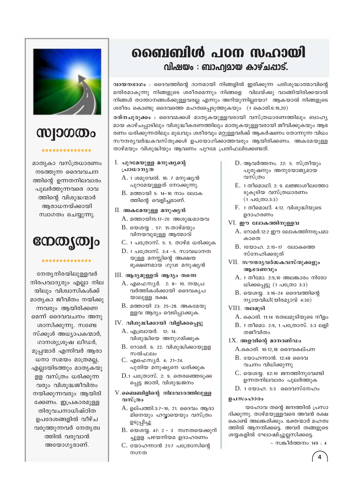

# **MDOOOO**

#### \*\*\*\*\*\*\*\*\*\*\*\*\*\*

മാതൃകാ വസ്ത്രധാരണം നടത്തുന്ന ദൈവവചന ത്തിന്റെ ഉന്നതനിലവാരം പുലർത്തുന്നവരെ ദാവ ത്തിന്റെ വിശുദ്ധന്മാർ അരാധനയ്ക്കായി സ്വാഗതം ചെയ്യുന്നു.

## നേതൃത്വം

#### \*\*\*\*\*\*\*\*\*\*\*\*\*\*

നേതൃനിരയിലുള്ളവർ നിരപവാദ്യരും എല്ലാ നില യിലും വിശ്വാസികൾക്ക് മാതൃകാ ജീവിതം നയിക്കു ന്നവരും ആയിരിക്കണ മെന്ന് ദൈവവചനം അനു ശാസിക്കുന്നു. സണ്ടേ സ്ക്കൂൾ അധ്യാപകന്മാർ, ഗാനശുശ്രുഷ ലീഡർ, മൂപ്പന്മാർ എന്നിവർ ആരാ ധനാ സമയം മാത്രമല്ല, എല്ലായിടത്തും മാതൃകയു ള്ള വസ്ത്രം ധരിക്കുന്ന വരും വിശുദ്ധജീവിതം നയിക്കുന്നവരും ആയിരി ക്കേണം. ഇപ്രകാരമുള്ള തിരുവചനാധിഷ്ഠിത ഉപദേശങ്ങളിൽ വീഴ്ച വരുത്തുന്നവർ നേതൃത്വ ത്തിൽ വരുവാൻ അയോഗൃരാണ്.

### ബൈബിൾ പഠന സഹായി വിഷയം : ബാഹ്വമായ കാഴ്ചപ്പാട്.

വായനഭാഗം : ദൈവത്തിന്റെ ദാനമായി നിങ്ങളിൽ ഇരിക്കുന്ന പരിശുദ്ധാത്മാവിന്റെ മന്ദിരമാകുന്നു നിങ്ങളുടെ ശരീരമെന്നും നിങ്ങളെ വിലയ്ക്കു വാങ്ങിയിരിക്കയാൽ നിങ്ങൾ താന്താനങ്ങൾക്കുള്ളവരല്ല എന്നും അറിയുന്നില്ലയോ? ആകയാൽ നിങ്ങളുടെ ശരീരം കൊണ്ടു ദൈവത്തെ മഹത്വപ്പെടുത്തുകയും  $(1 - \theta)$ കാരി.6:19,20)

രത്നചുരുക്കം : ദൈവമക്കൾ മാതൃകയുള്ളവരായി വസ്ത്രധാരണത്തിലും ബാഹൃ മായ കാഴ്ചപ്പാടിലും വിശുദ്ധീകരണത്തിലും മാതൃകയുള്ളവരായി ജീവിക്കുകയും ആഭ രണം ധരിക്കുന്നതിലും മുഖവും ശരീരവും മറ്റുള്ളവർക്ക് ആകർഷണം തോന്നുന്ന വിധം സൗന്ദര്യവർദ്ധകവസ്തുക്കൾ ഉപയോഗിക്കാത്തവരും ആയിരിക്കണം. അകമേയുള്ള താഴ്മയും വിശുദ്ധിയും ആവണം പുറമേ പ്രതിഫലിക്കേണ്ടത്.

- I. പുറമേയുള്ള മനുഷ്യന്റെ പ്രാധാനൃത
	- A. 1 ശമുവേൽ. 16: 7 മനുഷ്യൻ പുറമേയുള്ളത് നോക്കുന്നു.
	- B. മത്തായി 5: 14-16 നാം ലോക ത്തിന്റെ വെളിച്ചമാണ്.
- II. അകമേയുള്ള മനുഷൃൻ
	- A. മത്തായി15:17-20 അശുദ്ധമായവ
	- $B.$  യെശയ്യ . 57: 15.താഴ്മയും വിനയവുമുള്ള ആത്മാവ്
	- C. 1 പത്രോസ്. 5: 5. താഴ്മ ധരിക്കുക
	- $D. 1$  പത്രോസ്. 3:4 -5. സാവധാനത യുള്ള മനസ്സിന്റെ അക്ഷയ ഭുക്ഷണമായ ഗുഢ മനുഷ്യൻ
- III. ആദ്യമുള്ളത് ആദ്യം തന്നെ
	- A. എഫെസ്യർ. 2: 8- 10. നന്മപ്ര വർത്തികൾക്കായി ദൈവകൃപ യാലുള്ള രക്ഷ.
	- $B.$  മത്തായി 23: 25-28. അകമേയു ള്ളവ ആദ്യം വെടിപ്പാക്കുക.

#### $IV.$  വിശുദ്ധിക്കായി വിളിക്കപ്പെട്ടു

- A. എബ്രായർ. 12: 14. വിശുദ്ധിയെ അനുഗമിക്കുക
- $B.$  റോമർ. 6: 22. വിശുദ്ധിക്കായുള്ള സൽഫലം
- C. എഫെസ്യർ. 4: 21-24. പുതിയ മനുഷ്യനെ ധരിക്കുക
- $D.1$  പത്രോസ്. 2: 9. തെരഞ്ഞെടുക്ക പ്പെട്ട ജാതി, വിശുദ്ധജനം
- $V$ .ബൈബിളിന്റെ നിലവാരത്തിലുള്ള വസ്ത്രം
	- A. ഉല്പത്തി.3:7-10, 21, ദൈവം ആദാ മിനെയും ഹവ്വായെയും വസ്ത്രം ഉടുപ്പിച്ചു
	- $B.$ യെശയ്യ. 47: 2 3 നഗ്നതയെക്കുറി ച്ചുളള പഴയനിയമ ഉദാഹരണം
	- C. യോഹന്നാൻ 21:7 പന്ത്രോസിന്റെ നഗ്നത
- $D.$  ആവർത്തനം. 22: 5. സ്ത്രീയും പുരുഷനും അനുയോജ്യമായ വസ്ത്രം
- E. 1 തീമൊഥി. 2: 9. ലജ്ജാശീലത്തോ ടുകുടിയ വസ്ത്രധാരണം  $(1 \nLeftrightarrow 3:3)$
- F. 1 തീമൊഥി. 4:12. വിശുദ്ധിയുടെ ഉദാഹരണം
- VI. ഈ ലോകത്തിനുള്ളവ
	- A. റോമർ.12:2 ഈ ലോകത്തിനരുപമാ കാതെ
	- B. 1യോഹ. 2:15-17 ലോകത്തെ സ്നേഹിക്കരുത്
- VII. സൗന്ദരൃവർദ്ധകവസ്തുക്കളും ആഭരണവും
	- A. 1 തീമോ. 2:9,10 അലങ്കാരം നിരോ ധിക്കപ്പെട്ടു (1 പത്രോ 3:3)
	- $B.$  യെശയു.  $3:16-24$  ദൈവത്തിന്റെ ന്യായവിധി(യിരമ്യാവ് 4:30)
- $VII1.$  തലമുടി
	- A. കൊരി. 11:14 15തലമുടിയുടെ നീളം
	- B. 1 തീമൊ. 2:9, 1 പത്രോസ്. 3:3 ലളി തജീവിതം

#### $1X$ . അളവിന്റെ മാനദണ്ഡം

A.കൊരി. 10:12,18 ദൈവകല്പന

- B. യോഹന്നാൻ. 12:48 ദൈവ വചനം വിധിക്കുന്നു
- $C.$  യെശയു. 62:10 ജനത്തിനുവേണ്ടി ഉന്നതനിലവാരം പുലർത്തുക
- $D. 1$  യോഹ. 5:3 ജൈവസ്നേഹം

#### ഉപസംഹാരം

യഹോവ തന്റെ ജനത്തിൽ പ്രസാ ദിക്കുന്നു. താഴ്മയുള്ളവരെ അവൻ രക്ഷ കൊണ്ട് അലങ്കരിക്കും. ഭക്തന്മാർ മഹത്വ ത്തിൽ ആനന്ദിക്കട്ടെ. അവർ തങ്ങളുടെ ശയ്യകളിൽ ഘോഷിച്ചുല്ലസിക്കട്ടെ.

- സങ്കീർത്തനം 149 : 4

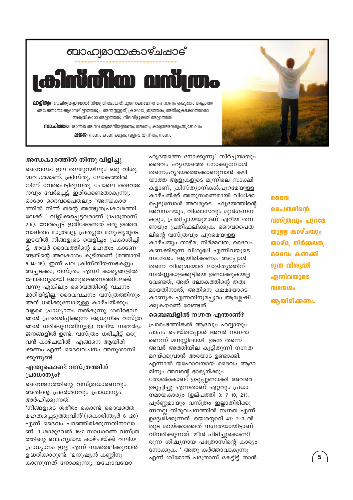

**ലജ്ജ:** നാണം കാണിക്കുക, വളരെ വിനീതം, നാണം



#### അന്ധകാരത്തിൽ നിന്നു വിളിച്ചു

ദൈവസഭ ഈ തലമുറയിലും ഒരു വിശു ദ്ധവംശമാണ്. ക്രിസ്തു, ലോകത്തിൽ നിന്ന് വേർപെട്ടിരുന്നതു പോലെ ദൈവജ നവും വേർപ്പെട്ട് ഇരിക്കേണ്ടതാകുന്നു. ഓരോ ദൈവപൈതലും 'അന്ധകാര ത്തിൽ നിന്ന് തന്റെ അത്ഭുതപ്രകാശത്തി ലേക്ക് ' വിളിക്കപ്പെട്ടവരാണ് (1പത്രോസ് 2:9). വേർപ്പെട്ട് ഇരിക്കേണ്ടത് ഒരു ഉത്തര വാദിത്വം മാത്രമല്ല, പ്രത്യുത മനുഷ്യരുടെ ഇടയിൽ നിങ്ങളുടെ വെളിച്ചം പ്രകാശിച്ചി ട്ട്, അവർ ദൈവത്തിന്റെ മഹത്വം കാണേ ണ്ടതിന്റെ അവകാശം കൂടിയാണ് (മത്തായി 5:14-16). ഇന്ന് പല ക്രിസ്തീയസഭകളും അച്ചടക്കം, വസ്ത്രം എന്നീ കാര്യങ്ങളിൽ ലോകവുമായി അനുരജ്ഞനത്തിലേക്ക് വന്നു എങ്കിലും ദൈവത്തിന്റെ വചനം മാറിയിട്ടില്ല. ദൈവവചനം വസ്ത്രത്തിനും അത് ധരിക്കുമ്പോഴുള്ള കാഴ്ചയ്ക്കും വളരെ പ്രാധ്യാനം നൽകുന്നു. ശരീരഭാഗ ങ്ങൾ പ്രദർശിപ്പിക്കുന്ന ആധുനിക വസ്ത്ര ങ്ങൾ ധരിക്കുന്നതിനുള്ള വലിയ സമ്മർദ്ദം ജനങ്ങളിൽ ഉണ്ട്. വസ്ത്രം ധരിച്ചിട്ട് ഒരു വൻ കാഴ്ചയിൽ എങ്ങനെ ആയിരി ക്കണം എന്ന് ദൈവവചനം അനുശാസി ക്കുന്നുണ്ട്.

#### എന്തുകൊണ്ട് വസ്ത്രത്തിന് പ്രാധാന്യം?

ദൈവജനത്തിന്റെ വസ്ത്രധാരണവും അതിന്റെ പ്രദർശനവും പ്രാധാന്യം അർഹിക്കുന്നത്

'നിങ്ങളുടെ ശരീരം കൊണ്ട് ദൈവത്തെ മഹത്വപ്പെടുത്തുവിൻ'(1കൊരിന്ത്യർ 6 :20) എന്ന് ദൈവം പറഞ്ഞിരിക്കുന്നതിനാലാ ണ്. 1 ശാമുവേൽ 16:7 സാധാരണ വസ്ത്ര ത്തിന്റെ ബാഹ്യമായ കാഴ്ചയ്ക്ക് വലിയ പ്രാധ്യാനം ഇല്ല എന്ന് സമർത്ഥിക്കുവാൻ ഉദ്ധരിക്കാറുണ്ട്. 'മനുഷ്യൻ കണ്ണിനു കാണുന്നത് നോക്കുന്നു; യഹോവയോ

ഹൃദയത്തെ നോക്കുന്നു' തീർച്ചയായും ദൈവം ഹൃദയത്തെ നോക്കുമ്പോൾ തന്നെ,ഹൃദയത്തെക്കാണുവാൻ കഴി യാത്ത ആളുകളുടെ മുന്നിലെ സാക്ഷി കളാണ്, ക്രിസ്ത്യാനികൾ.പൂറമേയുള്ള കാഴ്ചയ്ക്ക് അനുസരണമായി വിധിക്ക പ്പെടുമ്പോൾ അവരുടെ ഹൃദയത്തിന്റെ അവസ്ഥയും, വിശ്വാസവും മുൻഗണന കളും, പ്രതിച്ചായയുമാണ് ഏറിയ തവ ണയും പ്രതിഫലിക്കുക. ദൈവപൈത ലിന്റെ വസ്ത്രവും പുറമെയുള്ള കാഴ്ചയും താഴ്മ, നിർമ്മലത, ദൈവം കണക്കിടുന്ന വിശുദ്ധി എന്നിവയുടെ സന്ദേശം ആയിരിക്കണം. അപ്പോൾ തന്നെ വിശുദ്ധന്മാർ ലാളിത്യത്തിന് സ്വർണ്ണകാളക്കുട്ടിയെ ഉണ്ടാക്കുകയല്ല വേണ്ടത്, അത് ലോകത്തിന്റെ തത്വ മായതിനാൽ, അതിനെ ക്ഷമയോടെ കാണുക എന്നതിനുമപ്പുറം ആശ്ലേഷി ക്കുകയാണ് വേണ്ടത്.

#### ബൈബിളിൽ നഗ്നത എന്താണ്?

പ്രാരംഭത്തിങ്കൽ ആദവും ഹവ്വായും പാപം ചെയ്തപ്പോൾ അവർ നഗ്നരാ ണെന്ന് മനസ്സിലായി. ഉടൻ തന്നെ അവർ അത്തിയില കൂട്ടിതുന്നി നഗ്നത മറയ്ക്കുവാൻ അരയാട ഉണ്ടാക്കി. എന്നാൽ യഹോവയായ ദൈവം ആദാ മിനും അവന്റെ ഭാര്യയ്ക്കും തോൽകൊണ്ട് ഉടുപ്പുണ്ടാക്കി അവരെ ഉടുപ്പിച്ചു എന്നതാണ് ഏറ്റവും പ്രധാ നമായകാര്യം (ഉല്പത്തി 3: 7-10, 21). പൂർണ്ണമായും വസ്ത്രം ഇല്ലാതിരിക്കു ന്നതല്ല തിരുവചനത്തിൽ നഗ്നത എന്ന് ഉദ്ദേശിക്കുന്നത്. യെശയ്യാവ് 47: 2-3 ൽ തുട മറയ്ക്കാത്തത് നഗ്നതയായിട്ടാണ് വിവരിക്കുന്നത്. മീൻ പിടിച്ചുകൊണ്ടി രുന്ന ശിഷ്യനായ പത്രോസിന്റെ കാര്യം നോക്കുക. ' അതു കർത്താവാകുന്നു എന്ന് ശീമോൻ പത്രോസ് കേട്ടിട്ട് താൻ

ൈവ പൈതലിന്റെ വസ്ത്രവും പുറമേ യുള്ള കാഴ്ചയും താഴ്മ, നിർമ്മലത, ദൈവം കണക്കി ടുന്ന വിശുദ്ധി എന്നിവയുടെ ൜ഩ൸ ആയിരിക്കണം.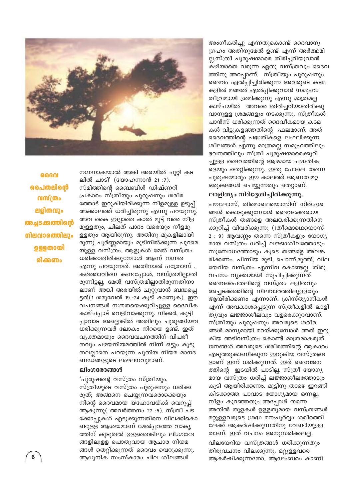

ദൈവ പൈതലിന്റെ വസ്ത്രം ലളിതവും അച്ചടക്കത്തിന്റെ <u>നിലവാരത്തിലും</u> ഉള്ളതായി രിക്കണം

നഗ്നനാകയാൽ അങ്കി അരയിൽ ചുറ്റി കട ലിൽ ചാടി' (യോഹന്നാൻ 21:7). സ്മിത്തിന്റെ ബൈബിൾ ഡിഷ്ണറി പ്രകാരം സ്ത്രീയും പുരുഷനും ശരീര ത്തോട് ഇറുകിയിരിക്കുന്ന നീളമുള്ള ഉടുപ്പ് അക്കാലത്ത് ധരിച്ചിരുന്നു എന്നു പറയുന്നു. അവ കൈ ഇല്ലാതെ കാൽ മുട്ട് വരെ നീള മുള്ളതും, ചിലത് പാദം വരെയും നീളമു ള്ളതും ആയിരുന്നു. അതിനു മുകളിലായി രുന്നു പൂർണ്ണമായും മൂടിനിൽക്കുന്ന പുറമെ യുള്ള വസ്ത്രം. ആളുകൾ മേൽ വസ്ത്രം ധരിക്കാതിരിക്കുമ്പോൾ ആണ് നഗ്നത എന്നു പറയുന്നത്. അതിനാൽ പത്രോസ് . കർത്താവിനെ കണ്ടപ്പോൾ, വസ്ത്രമില്ലാതി രുന്നിട്ടല്ല, മേൽ വസ്ത്രമില്ലാതിരുന്നതിനാ ലാണ് അങ്കി അരയിൽ ചുറ്റുവാൻ ബദ്ധപ്പെ ട്ടത്(1 ശമുവേൽ 19 :24 കൂടി കാണുക). ഈ വചനങ്ങൾ നഗ്നതയെക്കുറിച്ചുള്ള ദൈവീക കാഴ്ചപ്പാട് വെളിവാക്കുന്നു. നിക്കർ, കുട്ടി പ്പാവാട അല്ലെങ്കിൽ അതിലും ചുരുങ്ങിയവ ധരിക്കുന്നവർ ലോകം നിറയെ ഉണ്ട്. ഇത് വ്യക്തമായും ദൈവവചനത്തിന് വിപരീ തവും പഴയനിയമത്തിൽ നിന്ന് ഒട്ടും കൂടു തലല്ലാതെ പറയുന്ന പുതിയ നിയമ മാനദ ണഡങ്ങളുടെ ലംഘനവുമാണ്.

#### ലിംഗഭേദങ്ങൾ

'പുരുഷന്റെ വസ്ത്രം സ്ത്രീയും, സ്ത്രീയുടെ വസ്ത്രം പുരുഷനും ധരിക്ക രുത്; അങ്ങനെ ചെയ്യുന്നവരൊക്കെയും നിന്റെ ദൈവമായ യഹോവയ്ക്ക് വെറുപ്പ് ആകുന്നു( അവർത്തനം 22:5). സ്ത്രീ പട ക്കോപ്പുകൾ എടുക്കുന്നതിനെ വിലക്കികൊ ണ്ടുള്ള ആശയമാണ് മേൽപ്പറഞ്ഞ വാകൃ ത്തിന് കൂടുതൽ ഉള്ളതെങ്കിലും ലിംഗഭേദ ങ്ങളിലുളള പൊതുവായ ആചാര നിയമ ങ്ങൾ തെറ്റിക്കുന്നത് ദൈവം വെറുക്കുന്നു. ആധുനിക സംസ്കാരം ചില ശീലങ്ങൾ

അംഗീകരിച്ചു എന്നതുകൊണ്ട് ദൈവാനു ഗ്രഹം അതിനുമേൽ ഉണ്ട് എന്ന് അർത്ഥമി ല്ല.സ്ത്രീ പുരുഷന്മാരെ തിരിച്ചറിയുവാൻ കഴിയാതെ വരുന്ന ഏതു വസ്ത്രവും ദൈവ ത്തിനു അറപ്പാണ്. സ്ത്രീയും പുരുഷനും ദൈവം ഏൽപ്പിച്ചിരിക്കുന്ന അവരുടെ കടമ കളിൽ മങ്ങൽ ഏൽപ്പിക്കുവാൻ സമൂഹം തീവ്രമായി ശ്രമിക്കുന്നു എന്നു മാത്രമല്ല കാഴ്ചയിൽ അവരെ തിരിച്ചറിയാതിരിക്കു വാനുള്ള ശ്രമങ്ങളും നടക്കുന്നു. സ്ത്രീകൾ പാൻസ് ധരിക്കുന്നത് ദൈവീകമായ കടമ കൾ വിട്ടുകളഞ്ഞതിന്റെ ഫലമാണ്. അത് ദൈവത്തിന്റെ പദ്ധതികളെ ലംഘിക്കുന്ന ശീലങ്ങൾ എന്നു മാത്രമല്ല സമൂഹത്തിലും ഭവനത്തിലും സ്ത്രീ പുരുഷന്മാരെക്കുറി ച്ചുള്ള ദൈവത്തിന്റെ ആഴമായ പദ്ധതിക ളെയും തെറ്റിക്കുന്നു. ഇതു പോലെ തന്നെ പുരുഷന്മാരും ഈ കാലത്ത് ആണത്വമറ്റ ഒരുക്കങ്ങൾ ചെയ്യുന്നതും തെറ്റാണ്.

#### ലാളിത്യം നിർദ്ദേശിച്ചിരിക്കുന്നു.

പൗലോസ്, തിമൊഥെയൊസിന് നിർദ്ദേശ ങ്ങൾ കൊടുക്കുമ്പോൾ ദൈവഭക്തരായ സ്ത്രീകൾ തങ്ങളെ അലങ്കരിക്കുന്നതിനെ ക്കുറിച്ച് വിവരിക്കുന്നു (1തീമൊഥെയൊസ്  $2:9$ ) ആവണ്ണം തന്നെ സ്ത്രീകളും യോഗ്യ മായ വസ്ത്രം ധരിച്ച് ലജ്ജാശീലത്തോടും സുബോധത്തോടും കൂടെ തങ്ങളെ അലങ്ക രിക്കണം. പിന്നിയ മുടി, പൊന്ന്,മുത്ത്, വില യേറിയ വസ്ത്രം എന്നിവ കൊണ്ടല്ല. തിരു വചനം വ്യക്തമായി സൂചിപ്പിക്കുന്നത് ദൈവപൈതലിന്റെ വസ്ത്രം ലളിതവും അച്ചടക്കത്തിന്റെ നിലവാരത്തിലുള്ളതും ആയിരിക്കണം എന്നാണ്. ക്രിസ്ത്യാനികൾ എന്ന് അവകാശപ്പെടുന്ന സ്ത്രീകളിൽ ലാളി തൃവും ലജ്ജാശീലവും വളരെക്കുറവാണ്. സ്ത്രീയും പുരുഷനും അവരുടെ ശരീര ങ്ങൾ മാന്യമായി മറയ്ക്കുമ്പോൾ അത് ഇറു കിയ അടിവസ്ത്രം കൊണ്ട് മാത്രമാകരുത്. ജനങ്ങൾ അവരുടെ ശരീരത്തിന്റെ ആകാരം എടുത്തുകാണിക്കുന്ന ഇറുകിയ വസ്ത്രങ്ങ ളാണ് ഇന്ന് ധരിക്കുന്നത്. ഇത് ദൈവജന ത്തിന്റെ ഇടയിൽ പാടില്ല. സ്ത്രീ യോഗ്യ മായ വസ്ത്രം ധരിച്ച് ലജ്ജാശീലത്തോടും കൂടി ആയിരിക്കണം. മുട്ടിനു താഴെ ഇറങ്ങി കിടക്കാത്ത പാവാട യോഗ്യമായ ഒന്നല്ല. നീളം കുറഞ്ഞതും അപ്പോൾ തന്നെ അതിൽ തുളകൾ ഉള്ളതുമായ വസ്ത്രങ്ങൾ മറ്റുള്ളവരുടെ ശ്രദ്ധ മന:പൂർവ്വം ശരീരത്തി ലേക്ക് ആകർഷിക്കുന്നതിനു വേണ്ടിയുള്ള താണ്. ഇത് വചനം അനുസരിക്കലല്ല. വിലയേറിയ വസ്ത്രങ്ങൾ ധരിക്കുന്നതും തിരുവചനം വിലക്കുന്നു. മറ്റുള്ളവരെ ആകർഷിക്കുന്നതോ, ആഢംബരം കാണി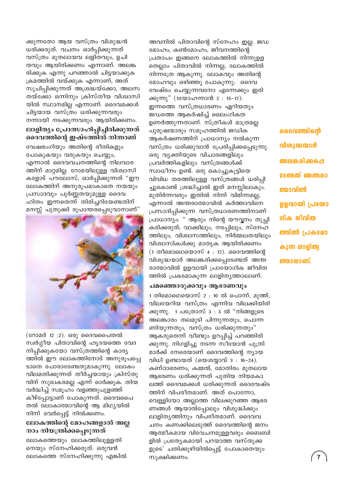ക്കുന്നതോ ആയ വസ്ത്രം വിശുദ്ധൻ ധരിക്കരുത്. വചനം ഓർപ്പിക്കുന്നത് വസ്ത്രം മുതലായവ ലളിതവും, ഉചി തവും ആയിരിക്കണം എന്നാണ്. അലങ്ക രിക്കുക എന്നു പറഞ്ഞാൽ ചിട്ടയാക്കുക ക്രമത്തിൽ വയ്ക്കുക എന്നാണ്, അത് സൂചിപ്പിക്കുന്നത് അശ്രദ്ധയ്ക്കോ, അലസ തയ്ക്കോ ഒന്നിനും ക്രിസ്തീയ വിശ്വാസി യിൽ സ്ഥാനമില്ല എന്നാണ്. ദൈവമക്കൾ ചിട്ടയായ വസ്ത്രം ധരിക്കുന്നവരും നന്നായി നടക്കുന്നവരും ആയിരിക്കണം.

#### ലാളിത്യം പ്രോത്സാഹിപ്പിച്ചിരിക്കുന്നത് ദൈവത്തിന്റെ ഇഷ്ടത്തിൽ നിന്നാണ്

വേഷഭംഗിയും അതിന്റെ രീതികളും പോകുകയും വരുകയും ചെയ്യും, എന്നാൽ ദൈവവചനത്തിന്റെ നിലവാര ത്തിന് മാറ്റമില്ല. റോമയിലുള്ള വിശ്വാസി കളോട് പൗലോസ്, ഓർപ്പിക്കുന്നത് "ഈ ലോകത്തിന് അനുരൂപമാകാതെ നന്മയും പ്രസാദവും പൂർണ്ണതയുമുള്ള ദൈവ ഹിതം ഇന്നതെന്ന് തിരിച്ചറിയേണ്ടതിന് മനസ്സ് പുതുക്കി രൂപാന്തരപ്പെടുവാനാണ്"



(റോമർ 12 :2). ഒരു ദൈവപൈതൽ സ്വർഗ്ഗീയ പിതാവിന്റെ ഹൃദയത്തെ വേദ നിപ്പിക്കുകയോ വസ്ത്രത്തിന്റെ കാര്യ ത്തിൽ ഈ ലോകത്തിനോട് അനുരൂപപ്പെ ടാതെ പോരാടേണ്ടതുമാകുന്നു. ലോകം വിലമതിക്കുന്നത് തീർച്ചയായും ക്രിസ്തു വിന് സുഖകരമല്ല എന്ന് ഓർക്കുക. തിന്മ വർദ്ധിച്ച് സമൂഹം വളഞ്ഞുപുളഞ്ഞ് കീഴ്പ്പോട്ടാണ് പോകുന്നത്. ദൈവപൈ തൽ ലോകാത്മാവിന്റെ ആ മിഥ്യയിൽ നിന്ന് വേർപ്പെട്ട് നിൽക്കണം.

#### ലോകത്തിന്റെ മോഹങ്ങളാൽ അല്ല നാം നിയന്ത്രിക്കപ്പെടുന്നത്

ലോകത്തെയും ലോകത്തിലുള്ളതി നെയും സ്നേഹിക്കരുത്. ഒരുവൻ ലോകത്തെ സ്നേഹിക്കുന്നു എങ്കിൽ

അവനിൽ പിതാവിന്റെ സ്നേഹം ഇല്ല. ജഡ മോഹം, കൺമോഹം, ജീവനത്തിന്റെ പ്രതാപം ഇങ്ങനെ ലോകത്തിൽ നിന്നുള്ള തെല്ലാം പിതാവിൽ നിന്നല്ല, ലോകത്തിൽ നിന്നത്രേ ആകുന്നു. ലോകവും അതിന്റെ മോഹവും ഒഴിഞ്ഞു പോകുന്നു; ദൈവ വേഷ്ടം ചെയ്യുന്നവനോ എന്നേക്കും ഇരി ക്കുന്നു" (1യോഹന്നാൻ 2 : 15-17). ഇന്നത്തെ വസ്ത്രധാരണം ഏറിയതും ജഡത്തെ ആകർഷിച്ച് ലൈംഗികത ഉണർത്തുന്നതാണ്. സ്ത്രീകൾ മാത്രമല്ല പുരുഷന്മാരും സമൂഹത്തിൽ ജഡിക ആകർഷണത്തിന് പ്രാധാന്യം നൽകുന്ന വസ്ത്രം ധരിക്കുവാൻ പ്രേരിപ്പിക്കപ്പെടുന്നു. ഒരു വ്യക്തിയുടെ വിചാരങ്ങളിലും പ്രവർത്തികളിലും വസ്ത്രങ്ങൾക്ക് സ്വാധീനം ഉണ്ട്. ഒരു കൊച്ചുകുട്ടിയെ വിവിധ തരത്തിലുള്ള വസ്ത്രങ്ങൾ ധരിപ്പി ച്ചുകൊണ്ട് ശ്രദ്ധിച്ചാൽ ഇത് മനസ്സിലാകും. മുതിർന്നവരും ഇതിൽ നിന്ന് വിഭിന്നമല്ല, എന്നാൽ അന്തരാത്മാവിൽ കർത്താവിനെ പ്രസാദിപ്പിക്കുന്ന വസ്ത്രധാരണത്തിനാണ് പ്രാധാന്യം. " ആരും നിന്റെ യൗവ്വനം തുച്ഛി കരിക്കരുത്; വാക്കിലും, നടപ്പിലും, സ്നേഹ ത്തിലും, വിശ്വാസത്തിലും, നിർമ്മലതയിലും വിശ്വാസികൾക്കു മാതൃക ആയിരിക്കണം  $(1 \n *0* \n *0* \n *0* \n *0* \n *0* \n *0* \n *0* \n *0* \n *0* \n *0* \n *0* \n *0* \n *0* \n *0* \n *0* \n *0* \n *0* \n *0* \n *0* \n *0* \n *0* \n *0*$ വിശുദ്ധന്മാർ അലങ്കരിക്കപ്പെടേണ്ടത് അന്ത രാത്മാവിൽ ഉളവായി പ്രായോഗിക ജീവിത ത്തിൽ പ്രകടമാകുന്ന ലാളിതൃത്താലാണ്.

#### ചമഞ്ഞൊരുക്കവും ആഭരണവും

1 തിമൊഥെയൊസ് 2 : 10 ൽ പൊന്ന്, മുത്ത്, വിലയേറിയ വസ്ത്രം എന്നിവ വിലക്കിയിരി ക്കുന്നു. 1 പത്രോസ് 3 : 3 ൽ "നിങ്ങളുടെ അലങ്കാരം തലമുടി പിന്നുന്നതും, പൊന്ന ണിയുന്നതും, വസ്ത്രം ധരിക്കുന്നതും" ആകരുതെന്ന് വീണ്ടും ഉറപ്പിച്ച് പറഞ്ഞിരി ക്കുന്നു. നിഗളിച്ചു നടന്ന സീയോൻ പുത്രി മാർക്ക് നേരെയാണ് ദൈവത്തിന്റെ ന്യായ വിധി ഉണ്ടായത് (യെശയ്യാവ്  $3:16-24$ ). കണ്ഠാഭരണം, കമ്മൽ, മോതിരം മുതലായ ആഭരണം ധരിക്കുന്നത് പുതിയ നിയമകാ ലത്ത് ദൈവമക്കൾ ധരിക്കുന്നത് ദൈവേഷ്ട ത്തിന് വിപരീതമാണ്. അത് പൊന്നോ, വെള്ളിയോ അല്ലാത്ത വിലക്കുറഞ്ഞ ആഭര ണങ്ങൾ ആയാൽപ്പോലും വിശുദ്ധിക്കും ലാളിതൃത്തിനും വിപരീതമാണ്. ദൈവവ ചനം കണക്കിലെടുത്ത് ദൈവത്തിന്റെ ജനം ആത്മീകമായ വിവേചനമുള്ളവരും ബൈബി ളിൽ പ്രത്യേകമായി പറയാത്ത വസ്തുക്ക ളുടെ' ചതിക്കുഴിയിൽപ്പെട്ട് പോകാതെയും സുക്ഷിക്കണം.

ദൈവത്തിന്റെ വിശുദ്ധന്മാർ അലങ്കരിക്കപ്പെ **esmsm common** ത്മാവിൽ ഉളവായി പ്രയോ ഗിക ജീവിത ത്തിൽ പ്രകടമാ കുന്ന ലാളിത്യ ത്താലാണ്.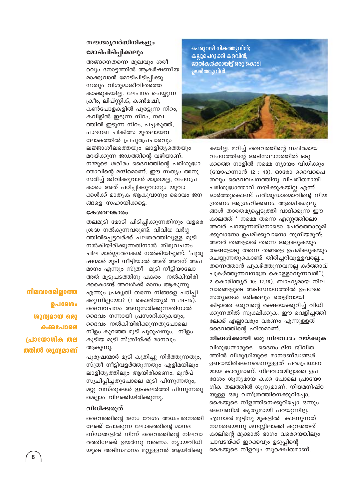#### സൗന്ദര്യവർദ്ധിനികളും മോടിപിടിപ്പിക്കലും

അങ്ങനെതന്നെ മുഖവും ശരീ രവും നോട്ടത്തിൽ ആകർഷണീയ മാക്കുവാൻ മോടിപിടിപ്പിക്കു ന്നതും വിശുദ്ധജീവിതത്തെ കാക്കുകയില്ല. ലേപനം ചെയ്യുന്ന ക്രീം, ലിപ്സ്റ്റിക്, കൺമഷി, കൺപോളകളിൽ പുരട്ടുന്ന നിറം, കവിളിൽ ഇടുന്ന നിറം, നഖ ത്തിൽ ഇടുന്ന നിറം, പച്ചകുത്ത്, പാദനഖ ചികിത്സ മുതലായവ ലോകത്തിൽ പ്രചുരപ്രചാരവും

ലജ്ജാശീലത്തെയും ലാളിത്യത്തെയും മറയ്ക്കുന്ന ജഡത്തിന്റെ വഴിയാണ്. നമ്മുടെ ശരീരം ദൈവത്തിന്റെ പരിശുദ്ധാ ത്മാവിന്റെ മന്ദിരമാണ്. ഈ സത്യം അനു സരിച്ച് ജീവിക്കുവാൻ മാത്രമല്ല, വചനപ്ര കാരം അത് പഠിപ്പിക്കുവാനും യുവാ ക്കൾക്ക് മാതൃക ആകുവാനും ദൈവം ജന ങ്ങളെ സഹായിക്കട്ടെ.

#### കേശാലങ്കാരം

തലമുടി മോടി പിടിപ്പിക്കുന്നതിനും വളരെ ശ്രദ്ധ നൽകുന്നവരുണ്ട്. വിവിധ വർഗ്ഗ ത്തിൽപ്പെട്ടവർക്ക് പലതരത്തിലുള്ള മുടി നൽകിയിരിക്കുന്നതിനാൽ തിരുവചനം ചില മാർഗ്ഗരേഖകൾ നൽകിയിട്ടുണ്ട്. 'പുരു ഷന്മാർ മുടി നീട്ടിയാൽ അത് അവന് അപ മാനം എന്നും സ്ത്രീ മുടി നീട്ടിയാലോ അത് മൂടുപടത്തിനു പകരം നൽകിയിരി ക്കകൊണ്ട് അവൾക്ക് മാനം ആകുന്നു എന്നും പ്രകൃതി തന്നെ നിങ്ങളെ പഠിപ്പി ക്കുന്നില്ലയോ? (1 കൊരിന്ത്യർ 11 :14-15). ദൈവവചനം അനുസരിക്കുന്നതിനാൽ ദൈവം നന്നായി പ്രസാദിക്കുകയും, ദൈവം നൽകിയിരിക്കുന്നതുപോലെ നീളം കുറഞ്ഞ മുടി പുരുഷനും, നീളം കൂടിയ മുടി സ്ത്രീയ്ക്ക് മാനവും ആകുന്നു.

നിലവാരമില്ലാത്ത ൭പദേശം (@200,000 @03 കക്കപോലെ പ്രായോഗിക തല ത്തിൽ ശുന്യമാണ്

പുരുഷന്മാർ മുടി കത്രിച്ചു നിർത്തുന്നതും, സ്ത്രീ നീട്ടിവളർത്തുന്നതും എളിമയിലും ലാളിതൃത്തിലും ആയിരിക്കണം. മുൻപ് സുചിപ്പിച്ചതുപോലെ മുടി പിന്നുന്നതും, മറ്റു വസ്തുക്കൾ ഇടകലർത്തി പിന്നുന്നതു മെല്ലാം വിലക്കിയിരിക്കുന്നു.

#### വിധിക്കരുത്

ദൈവത്തിന്റെ ജനം വേഗം അധ:പതനത്തി ലേക്ക് പോകുന്ന ലോകത്തിന്റെ മാനദ ണ്ഡങ്ങളിൽ നിന്ന് ദൈവത്തിന്റെ നിലവാ രത്തിലേക്ക് ഉയർന്നു വരണം. ന്യായവിധി യുടെ അടിസ്ഥാനം മറ്റുള്ളവർ ആയിരിക്കു



കയില്ല. മറിച്ച് ദൈവത്തിന്റെ സ്ഥിരമായ വചനത്തിന്റെ അടിസ്ഥാനത്തിൽ ഒടു ക്കത്തെ നാളിൽ നമ്മെ ന്യായം വിധിക്കും (യോഹന്നാൻ 12 : 48). ഓരോ ദൈവപൈ തലും ദൈവവചനത്തിനു വിപരീതമായി പരിശുദ്ധാത്മാവ് നയിക്കുകയില്ല എന്ന് ഓർത്തുകൊണ്ട് പരിശുദ്ധാത്മാവിന്റെ നിയ ന്ത്രണം ആഗ്രഹിക്കണം. ആത്മീകമൂല്യ ങ്ങൾ താരതമ്യപ്പെടുത്തി വാദിക്കുന്ന ഈ കാലത്ത് ' നമ്മെ തന്നെ എണ്ണത്തിലൊ അവർ പറയുന്നതിനോടൊ ചേർത്തൊരുമി ക്കുവാനോ ഉപമിക്കുവാനോ തുനിയരുത്; അവർ തങ്ങളാൽ തന്നെ അളക്കുകയും തങ്ങളോടു തന്നെ തങ്ങളെ ഉപമിക്കുകയും ചെയ്യുന്നതുകൊണ്ട് തിരിച്ചറിവുള്ളവരല്ല.... തന്നെത്താൻ പുകഴ്ത്തുന്നവനല്ല കർത്താവ് പുകഴ്ത്തുന്നവനത്രേ കൊള്ളാവുന്നവൻ"( 2 കൊരിന്ത്യർ 10: 12,18). ബാഹ്യമായ നില വാരങ്ങളുടെ അടിസ്ഥാനത്തിൽ ഉപദേശ സത്യങ്ങൾ ഒരിക്കലും തെളിവായി കിട്ടാത്ത ഒരുവന്റെ രക്ഷയെക്കുറിച്ച് വിധി ക്കുന്നതിൽ സൂക്ഷിക്കുക. ഈ വെളിച്ചത്തി ലേക്ക് എല്ലാവരും വരണം എന്നുള്ളത് ദൈവത്തിന്റെ ഹിതമാണ്.

#### നിങ്ങൾക്കായി ഒരു നിലവാരം വയ്ക്കുക

വിശുദ്ധന്മാരുടെ ദൈനം ദിന ജീവിത ത്തിൽ വിശുദ്ധിയുടെ മാനദണ്ഡങ്ങൾ ഉണ്ടായിരിക്കണമെന്നുള്ളത് പരമപ്രധാന മായ കാര്യമാണ്. നിലവാരമില്ലാത്ത ഉപ ദേശം ശൂന്യമായ കക്ക പോലെ പ്രായോ ഗിക തലത്തിൽ ശൂന്യമാണ്. നിയമനിഷ്ഠ യുള്ള ഒരു വസ്ത്രത്തിനെക്കുറിച്ചോ, കൈയുടെ നീളത്തിനെക്കുറിച്ചോ ഒന്നും ബൈബിൾ കൃത്യമായി പറയുന്നില്ല. എന്നാൽ മുട്ടിനു മുകളിൽ കാണുന്നത് നഗ്നതയെന്നു മനസ്സിലാക്കി കുറഞ്ഞത് കാലിന്റെ മുക്കാൽ ഭാഗം വരെയെങ്കിലും പാവടയ്ക്ക് ഇറക്കവും ഉടുപ്പിന്റെ കൈയുടെ നീളവും സുരക്ഷിതമാണ്.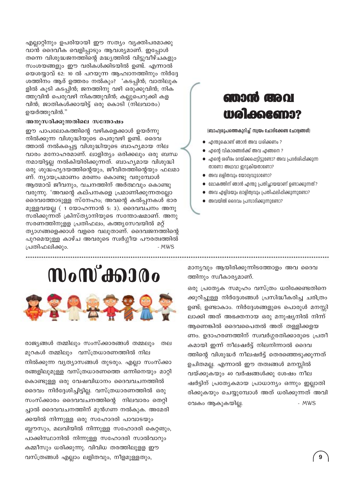എല്ലാറ്റിനും ഉപരിയായി ഈ സത്യം വ്യക്തിപരമാക്കു വാൻ ദൈവീക വെളിപ്പാടും ആവശ്യമാണ്. ഇപ്പോൾ തന്നെ വിശുദ്ധജനത്തിന്റെ മദ്ധ്യത്തിൽ വിട്ടുവീഴ്ചകളും സംശയങ്ങളും ഈ വരികൾക്കിടയിൽ ഉണ്ട്. എന്നാൽ യെശയ്യാവ് 62: 10 ൽ പറയുന്ന ആഹ്വാനത്തിനും നിർദ്ദേ ശത്തിനം ആര് ഉത്തരം നൽകും? 'കടപ്പിൻ; വാതിലുക ളിൽ കുടി കടപ്പിൻ; ജനത്തിനു വഴി ഒരുക്കുവിൻ; നിക ത്തുവിൻ പെരുവഴി നികത്തുവിൻ; കല്ലുപെറുക്കി കള വിൻ; ജാതികൾക്കായിട്ട് ഒരു കൊടി (നിലവാരം) ഉയർത്തുവിൻ."

#### അനുസരിക്കുന്നതിലെ സന്തോഷം

ഈ പാപലോകത്തിന്റെ വഴികളെക്കാൾ ഉയർന്നു നിൽക്കുന്ന വിശുദ്ധിയുടെ പെരുവഴി ഉണ്ട്. ദൈവ ത്താൽ നൽകപ്പെട്ട വിശുദ്ധിയുടെ ബാഹ്യമായ നില വാരം മനോഹരമാണ്. ലാളിത്യം ഒരിക്കലും ഒരു ബന്ധ നമായിട്ടല്ല നൽകിയിരിക്കുന്നത്. ബാഹ്യമായ വിശുദ്ധി ഒരു ശുദ്ധഹൃദയത്തിന്റെയും, ജീവിതത്തിന്റെയും ഫലമാ ണ്. ന്യായപ്രമാണം മരണം കൊണ്ടു വരുമ്പോൾ ആത്മാവ് ജീവനും, വചനത്തിന് അർത്ഥവും കൊണ്ടു വരുന്നു. 'അവന്റെ കല്പനകളെ പ്രമാണിക്കുന്നതല്ലോ ദൈവത്തോടുള്ള സ്നേഹം; അവന്റെ കൽപ്പനകൾ ഭാര മുള്ളവയല്ല ( 1 യോഹന്നാൻ 5: 3). ദൈവവചനം അനു സരിക്കുന്നത് ക്രിസ്ത്യാനിയുടെ സന്തോഷമാണ്. അനു സരണത്തിനുളള പ്രതിഫലം, കത്തൃസേവയിൽ മറ്റ് ത്യാഗങ്ങളെക്കാൾ വളരെ വലുതാണ്. ദൈവജനത്തിന്റെ പുറമെയുള്ള കാഴ്ച അവരുടെ സ്വർഗ്ഗീയ പൗരത്വത്തിൽ പ്രതിഫലിക്കും. - MWS

### amago gio ol Waleneamo?

(ബാഹ്വരൂപത്തെകുറിച്ച് സ്വയം ചോദിക്കേണ്ട ചോദ്വങ്ങൾ)

- $\bullet$  എന്തുകൊണ്ട് ഞാൻ അവ ധരിക്കണം ?
- എന്റെ വികാരങ്ങൾക്ക് അവ എങ്ങനെ ?
- എന്റെ ശരീരം മറയ്ക്കപ്പെട്ടിട്ടുണ്ടോ? അവ പ്രദർശിപ്പിക്കുന്ന താണോ അഥവാ ഇറുകിയതാണോ?
- അവ ലളിതവും യോഗ്വവുമാണോ?
- ലോകത്തിന് ഞാൻ എന്തു പ്രതിച്ഛായയാണ് ഉണ്ടാക്കുന്നത്?
- അവ എളിമയും ലാളിത്വവും പ്രതിഫലിഷിക്കുന്നുണ്ടോ?
- അവയിൽ ദൈവം പ്രസാദിക്കുന്നുണ്ടോ?

**സംസ്ക്കാരം** 

രാജ്യങ്ങൾ തമ്മിലും സംസ്ക്കാരങ്ങൾ തമ്മലും തല മുറകൾ തമ്മിലും വസ്ത്രധാരണത്തിൽ നില നിൽക്കുന്ന വ്യത്യാസങ്ങൾ തുടരും. എല്ലാ സംസ്ക്കാ രങ്ങളിലുമുള്ള വസ്ത്രധാരണത്തെ ഒന്നിനെയും മാറ്റി കൊണ്ടുള്ള ഒരു വേഷവിധാനം ദൈവവചനത്തിൽ ദൈവം നിർദ്ദേശിച്ചിട്ടില്ല. വസ്ത്രധാരണത്തിൽ ഒരു സംസ്ക്കാരം ദൈവവചനത്തിന്റെ നിലവാരം തെറ്റി ച്ചാൽ ദൈവവചനത്തിന് മുൻഗണ നൽകുക. അമേരി ക്കയിൽ നിന്നുള്ള ഒരു സഹോദരി പാവാടയും ബ്ലൗസും, മലവിയിൽ നിന്നുള്ള സഹോദരി കെറ്റങും, പാക്കിസ്ഥാനിൽ നിന്നുള്ള സഹോദരി സാൽവാറും കമ്മീസും ധരിക്കുന്നു. വിവിധ തരത്തിലുള്ള ഈ വസ്ത്രങ്ങൾ എല്ലാം ലളിതവും, നീളമുള്ളതും,

മാന്യവും ആയിരിക്കുന്നിടത്തോളം അവ ദൈവ ത്തിനും സ്വീകാര്യമാണ്.

ഒരു പ്രത്യേക സമൂഹം വസ്ത്രം ധരിക്കേണ്ടതിനെ ക്കുറിച്ചുള്ള നിർദ്ദേശങ്ങൾ പ്രസിദ്ധീകരിച്ച ചരിത്രം ഉണ്ട്; ഉണ്ടാകാം. നിർദ്ദേശങ്ങളുടെ പൊരുൾ മനസ്സി ലാക്കി അത് അഭക്തനായ ഒരു മനുഷ്യനിൽ നിന്ന് ആണെങ്കിൽ ദൈവപൈതൽ അത് തള്ളിക്കളയ ണം. ഉദാഹരണത്തിന് സ്വവർഗ്ഗരതിക്കാരുടെ പ്രതീ കമായി ഇന്ന് നീലഷർട്ട് നിലനിന്നാൽ ദൈവ ത്തിന്റെ വിശുദ്ധർ നീലഷർട്ട് തെരഞ്ഞെടുക്കുന്നത് ഉചിതമല്ല. എന്നാൽ ഈ തത്വങ്ങൾ മനസ്സിൽ വയ്ക്കുകയും 40 വർഷങ്ങൾക്കു ശേഷം നീല ഷർട്ടിന് പ്രത്യേകമായ പ്രാധാന്യം ഒന്നും ഇല്ലാതി രിക്കുകയും ചെയ്യുമ്പോൾ അത് ധരിക്കുന്നത് അവി വേകം ആകുകയില്ല. - MWS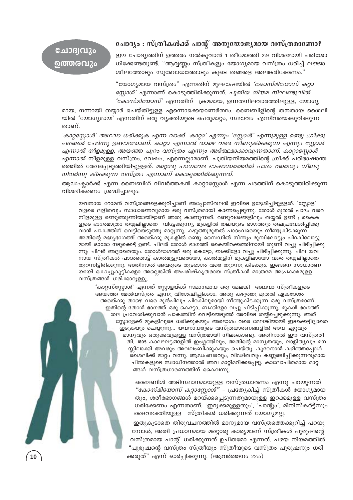#### ചോദ്യം : സ്ത്രീകൾക്ക് പാന്റ് അനുയോജ്യമായ വസ്ത്രമാണോ?

### ചോദ്വവും ൭ത്തരവും

ഈ ചോദ്യത്തിന് ഉത്തരം നൽകുവാൻ 1 തീമോത്തി 2:9 വിശദമായി പരിശോ ധിക്കേണ്ടതുണ്ട്. "ആവൃണ്ണം സ്ത്രീകളും യോഗ്യമായ വസ്ത്രം ധരിച്ച് ലജ്ജാ ശീലത്തോടും സുബോധത്തോടും കൂടെ തങ്ങളെ അലങ്കരിക്കേണം."

"യോഗ്യമായ വസ്ത്രം" എന്നതിന് മുലഭാഷയിൽ *'കോസ്മിയോസ് കറ്റാ സ്ലോൾ*' എന്നാണ് കൊടുത്തിരിക്കുന്നത്. *പുതിയ നിയമ നിഘണ്ടുവിൽ 'കോസ്മിയോസ്'* എന്നതിന് ക്രമമായ, ഉന്നതനിലവാരത്തിലുള്ള, യോഗ്യ

മായ, നന്നായി തയ്യാർ ചെയ്തിട്ടുള്ള എന്നൊക്കെയാണർത്ഥം. ബൈബിളിന്റെ തനതായ ശൈലി യിൽ 'യോഗ്യമായ' എന്നതിന് ഒരു വ്യക്തിയുടെ പെരുമാറ്റം, സ്വഭാവം എന്നിവയെക്കുറിക്കുന്ന താണ്.

'കാറ്റസ്റ്റോൾ' അഥവാ ധരിക്കുക എന്ന വാക്ക് 'കാറ്റാ' എന്നും 'സ്റ്റോൾ' എന്നുമുള്ള രണ്ടു ഗ്രീക്കു പദങ്ങൾ ചേർന്നു ഉണ്ടായതാണ്. കാറ്റാ എന്നാൽ താഴെ വരെ നീണ്ടുകിടക്കുന്ന എന്നും സ്റ്റോൾ എന്നാൽ നീളമുള്ള, അയഞ്ഞ പുറം വസ്ത്രം എന്നും അർത്ഥമാക്കാവുന്നതാണ്. കാറ്റാസ്റ്റോൾ *എന്നാൽ* നീളമുള്ള വസ്ത്രം, വേഷം, എന്നെല്ലാമാണ്. പുതിയനിയമത്തിന്റെ ഗ്രീക്ക് പരിഭാഷാന്ത രത്തിൽ രേഖപ്പെടുത്തിയിട്ടുള്ളത്. *മറ്റൊരു പഠനവേദ ഭാഷാന്തരത്തിൽ പാദം വരെയും നീണ്ടു* നിവർന്നു കിടക്കുന്ന വസ്ത്രം എന്നാണ് കൊടുത്തിരിക്കുന്നത്.

ആഡംക്ലാർക്ക് എന്ന ബൈബിൾ വിവർത്തകൻ കാറ്റാസ്റ്റോൾ എന്ന പദത്തിന് കൊടുത്തിരിക്കുന്ന വിശദീകരണം ശ്രദ്ധിച്ചാലും:

യവനായ റോമൻ വസ്ത്രങ്ങളെക്കുറിച്ചാണ് അപ്പോസ്തലൻ ഇവിടെ ഉദ്ദേശിച്ചിട്ടുള്ളത്. 'സ്റ്റോള' വളരെ ലളിതവും സാധാരണവുമായ ഒരു വസ്ത്രമായി കാണപ്പെടുന്നു. തോൾ മുതൽ പാദം വരെ നീളമുള്ള രണ്ടുത്തുണിയായിട്ടാണ് അതു കാണുന്നത്. രണ്ടുവശങ്ങളിലും തയ്യൽ ഉണ്ട് ; കൈക ളുടെ ഭാഗംമാത്രം തയ്യലില്ലാതെ വിട്ടേക്കുന്നു; മുകളിൽ തലയുടെ ഭാഗത്തും തലപ്രവേശിപ്പിക്കു വാൻ പാകത്തിന് വെട്ടിയെടുത്തു മാറ്റുന്നു. കഴുത്തുമുതൽ പാദംവരെയും നീണ്ടുകിടക്കുന്ന അതിന്റെ മദ്ധ്യഭാഗത്ത് അരയ്ക്കു മുകളിൽ രണ്ടു സൈഡിൽ നിന്നും മുമ്പിലോട്ടും പിറകിലോട്ടു മായി ഓരോ നടുക്കെട്ട് ഉണ്ട്. ചിലർ തോൾ ഭാഗത്ത് കൈയിറക്കത്തിനായി തുണി വച്ചു പിടിപ്പിക്കു ന്നു; ചിലർ അല്ലാതെയും. തോൾഭാഗത്ത് ഒരു കെട്ടോ, ബക്കിളോ വച്ചു പിടിപ്പിക്കുന്നു. ചില യവ നായ സ്ത്രീകൾ പാദംതൊട്ട് കാൽമുട്ടുവരെയോ, കാൽമുട്ടിന് മുകളിലായോ വരെ തയ്യലില്ലാതെ തുറന്നിട്ടിരിക്കുന്നു. അതിനാൽ അവരുടെ തുടഭാഗം വരെ തുറന്നു കിടക്കും. ഇങ്ങനെ സാധാരണ യായി കൊച്ചുകുട്ടികളോ അല്ലെങ്കിൽ അപരിഷ്കൃതരായ സ്ത്രീകൾ മാത്രമേ അപ്രകാരമുള്ള വസ്ത്രങ്ങൾ ധരിക്കാറുള്ളു.

'കാറ്റസ്സ്റ്റോൾ' എന്നത് സ്റ്റോളയ്ക്ക് സമാനമായ ഒരു മേലങ്കി അഥവാ സ്ത്രീകളുടെ അയഞ്ഞ മേൽവസ്ത്രം എന്നു വിശേഷിപ്പിക്കാം. അതു കഴുത്തു മുതൽ ഏകദേശം അരയ്ക്കു താഴെ വരെ മുൻപിലും പിറകിലുമായി നീണ്ടുകിടക്കുന്ന ഒരു വസ്ത്രമാണ്. ഇതിന്റെ തോൾ ഭാഗത്ത് ഒരു കെട്ടോ, ബക്കിളോ വച്ചു പിടിപ്പിക്കുന്നു. മുകൾ ഭാഗത്ത് തല പ്രവേശിക്കുവാൻ പാകത്തിന് വെട്ടിയെടുത്ത് അവിടെ തയ്ച്ചെടുക്കുന്നു. അത് സ്റ്റോളേക്ക് മുകളിലൂടെ ധരിക്കുകയും അരഭാഗം വരെ മേലങ്കിയായി ഇടക്കെട്ടില്ലാതെ ഇടുകയും ചെയ്യുന്നു... യവനായരുടെ വസ്ത്രധാരണങ്ങളിൽ അവ ഏറ്റവും മാന്യവും ഒതുക്കവുമുള്ള വസ്ത്രമായി നിലകൊണ്ടു. അതിനാൽ ഈ വസ്ത്രരീ തി, 1805 കാലഘട്ടങ്ങളിൽ ഇംഗ്ലണ്ടിലും, അതിന്റെ മാന്യതയും, ലാളിത്യവും മന സ്സിലാക്കി അവരും അവലംബിക്കുകയും ചെയ്തു. കുറേനാൾ കഴിഞ്ഞപ്പോൾ രൈലിക്ക് മാറ്റം വന്നു. ആഡംബരവും, വിഢിത്വവും കണ്ണഞ്ചിപ്പിക്കുന്നതുമായ ചിന്തകളുടെ സ്വാധീനത്താൽ അവ മാറ്റിമറിക്കപ്പെട്ടു. കാലോചിതമായ മാറ്റ ങ്ങൾ വസ്ത്രധാരണത്തിന് കൈവന്നു.

> ബൈബിൾ അടിസ്ഥാനമായുള്ള വസ്ത്രധാരണം എന്നു പറയുന്നത് *"കോസ്മിയോസ് കറ്റാസ്റ്റോൾ"* - പ്രത്യേകിച്ച് സ്ത്രീകൾ യോഗ്യമായ തും, ശരീരഭാഗങ്ങൾ മറയ്ക്കപ്പെടുന്നതുമായുള്ള ഇറക്കമുള്ള വസ്ത്രം ധരിക്കേണം എന്നതാണ്. 'ഇറുക്കമുള്ളതും', 'പാന്റും', മിനിസ്കർട്ട്സും ദൈവഭക്തിയുള്ള സ്ത്രീകൾ ധരിക്കുന്നത് യോഗ്യമല്ല.

ഇതുകൂടാതെ തിരുവചനത്തിൽ മാന്യമായ വസ്ത്രത്തെക്കുറിച്ച് പറയു മ്പോൾ, അതി പ്രധാനമായ മറ്റൊരു കാര്യമാണ് സ്ത്രീകൾ പുരുഷന്റെ വസ്ത്രമായ പാന്റ് ധരിക്കുന്നത് ഉചിതമോ എന്നത്. പഴയ നിയമത്തിൽ "പൂരൂഷന്റെ വസ്ത്രം സ്ത്രീയും സ്ത്രീയുടെ വസ്ത്രം പൂരുഷനും ധരി ക്കരുത്" എന്ന് ഓർപ്പിക്കുന്നു. (ആവർത്തനം 22:5)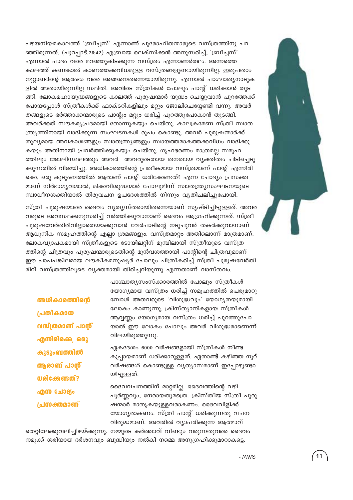പഴയനിയമകാലത്ത് 'ബ്രീച്ചസ്' എന്നാണ് പുരോഹിതന്മാരുടെ വസ്ത്രത്തിനു പറ ഞ്ഞിരുന്നത്. (പുറപ്പാട്.28:42) എബ്രായ ലെക്സിക്കൻ അനുസരിച്ച്, 'ബ്രീച്ചസ്' എന്നാൽ പാദം വരെ മറഞ്ഞുകിടക്കുന്ന വസ്ത്രം എന്നാണർത്ഥം. അന്നത്തെ കാലത്ത് കണങ്കാൽ കാണത്തക്കവിധമുള്ള വസ്ത്രങ്ങളുണ്ടായിരുന്നില്ല. ഇരുപതാം നൂറ്റാണ്ടിന്റെ ആരംഭം വരെ അങ്ങനെതന്നെയായിരുന്നു. എന്നാൽ പാശ്ചാതൃനാടുക ളിൽ അതായിരുന്നില്ല സ്ഥിതി. അവിടെ സ്ത്രീകൾ പോലും പാന്റ് ധരിക്കാൻ തുട ങ്ങി. ലോകമഹായുദ്ധങ്ങളുടെ കാലത്ത് പുരുഷന്മാർ യുദ്ധം ചെയ്യുവാൻ പുറത്തേക്ക് പോയപ്പോൾ സ്ത്രീകൾക്ക് ഫാക്ടറികളിലും മറ്റും ജോലിചെയ്യേണ്ടി വന്നു. അവർ തങ്ങളുടെ ഭർത്താക്കന്മാരുടെ പാന്റും മറ്റും ധരിച്ച് പുറത്തുപോകാൻ തുടങ്ങി. അവർക്കത് സൗകര്യപ്രദമായി തോന്നുകയും ചെയ്തു. കാലക്രമേണ സ്ത്രീ സ്വാത ന്ത്ര്യത്തിനായി വാദിക്കുന്ന സംഘടനകൾ രൂപം കൊണ്ടു. അവർ പുരുഷന്മാർക്ക് തുല്യമായ അവകാശങ്ങളും സ്വാതന്ത്ര്യങ്ങളും സ്വായത്തമാകത്തക്കവിധം വാദിക്കു കയും അതിനായി പ്രവർത്തിക്കുകയും ചെയ്തു. ഗൃഹഭരണം മാത്രമല്ല സമൂഹ ത്തിലും ജോലിസ്ഥലത്തും അവർ അവരുടെതായ തനതായ വ്യക്തിത്വം പിടിച്ചെടു ക്കുന്നതിൽ വിജയിച്ചു. അധികാരത്തിന്റെ പ്രതീകമായ വസ്ത്രമാണ് പാന്റ് എന്നിരി ക്കെ, ഒരു കുടുംബത്തിൽ ആരാണ് പാന്റ് ധരിക്കേണ്ടത്? എന്ന ചോദ്യം പ്രസക്ത മാണ് നിർഭാഗ്യവശാൽ, മിക്കവിശുദ്ധന്മാർ പോലുമിന്ന് സ്വാതന്ത്ര്യസംഘടനയുടെ സ്വാധീനശക്തിയാൽ തിരുവചന ഉപദേശത്തിൽ നിന്നും വ്യതിചലിച്ചുപോയി.

സ്ത്രീ പുരുഷന്മാരെ ദൈവം വ്യത്യസ്തരായിതന്നെയാണ് സൃഷ്ടിച്ചിട്ടുള്ളത്. അവര വരുടെ അവസ്ഥക്കനുസരിച്ച് വർത്തിക്കുവാനാണ് ദൈവം ആഗ്രഹിക്കുന്നത്. സ്ത്രീ പുരുഷവേർതിരിവില്ലാതെയാക്കുവാൻ വേർപാടിന്റെ നടുചുവർ തകർക്കുവാനാണ് ആധുനിക സമൂഹത്തിന്റെ എല്ലാ ശ്രമങ്ങളും. വസ്ത്രമാറ്റം അതിലൊന്ന് മാത്രമാണ്. ലോകവ്യാപകമായി സ്ത്രീകളുടെ ടോയിലറ്റിന് മുമ്പിലായി സ്ത്രീയുടെ വസ്ത്ര ത്തിന്റെ ചിത്രവും പുരുഷന്മാരുടെതിന്റെ മുൻവശത്തായി പാന്റിന്റെ ചിത്രവുമാണ് ഈ പാപപങ്കിലമായ ലൗകീകമനുഷ്യർ പോലും ചിത്രീകരിച്ച് സ്ത്രീ പുരുഷവേർതി രിവ് വസ്ത്രത്തിലൂടെ വ്യക്തമായി തിരിച്ചറിയുന്നു എന്നതാണ് വാസ്തവം.

> പാശ്ചാതൃസംസ്ക്കാരത്തിൽ പോലും സ്ത്രീകൾ യോഗ്യമായ വസ്ത്രം ധരിച്ച് സമൂഹത്തിൽ പെരുമാറു മ്പോൾ അതവരുടെ 'വിശുദ്ധവും' യോഗൃതയുമായി ലോകം കാണുന്നു. ക്രിസ്ത്യാനികളായ സ്ത്രീകൾ ആവൃണ്ണം യോഗ്യമായ വസ്ത്രം ധരിച്ച് പുറത്തുപോ യാൽ ഈ ലോകം പോലും അവർ വിശുദ്ധരാണെന്ന് വിലയിരുത്തുന്നു.

> ഏകദേശം 6000 വർഷങ്ങളായി സ്ത്രീകൾ നീണ്ട കുപ്പായമാണ് ധരിക്കാറുള്ളത്. ഏതാണ്ട് കഴിഞ്ഞ നൂറ് വർഷങ്ങൾ കൊണ്ടുള്ള വൃത്യാസമാണ് ഇപ്പോഴുണ്ടാ

> ദൈവവചനത്തിന് മാറ്റമില്ല. ദൈവത്തിന്റെ വഴി പൂർണ്ണവും, നേരായതുമത്രെ. ക്രിസ്തീയ സ്ത്രീ പുരു ഷന്മാർ മാതൃകയുള്ളവരാകണം. ദൈവവിളിക്ക് യോഗൃരാകണം. സ്ത്രീ പാന്റ് ധരിക്കുന്നതു വചന വിരുദ്ധമാണ്. അവരിൽ വ്യാപരിക്കുന്ന ആത്മാവ്

തെറ്റിലേക്കുവലിച്ചിഴയ്ക്കുന്നു. നമ്മുടെ കർത്താവ് വീണ്ടും വരുന്നതുവരെ ദൈവം നമുക്ക് ശരിയായ ദർശനവും ബുദ്ധിയും നൽകി നമ്മെ അനുഗ്രഹിക്കുമാറാകട്ടെ.

 $-MWS$ 



അധികാരത്തിന്റെ

വസ്ത്രമാണ് പാൻ്

എന്നിരിക്കെ, ഒരു

കുടുംബത്തിൽ

ആരാണ് പാൻ്

**W** രിക്കേണ്ടത്?

എന്ന ചോദ്യം

പ്രസക്തമാണ്

പ്രതീകമായ